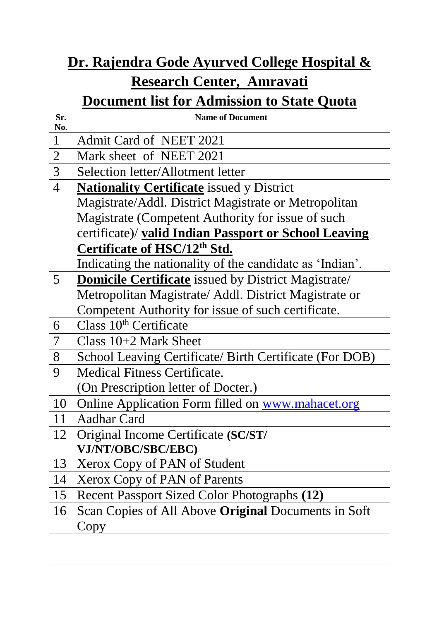## **Dr. Rajendra Gode Ayurved College Hospital & Research Center, Amravati**

## **Document list for Admission to State Quota**

| Sr.<br>No.     | <b>Name of Document</b>                                    |
|----------------|------------------------------------------------------------|
| $\mathbf{1}$   | Admit Card of NEET 2021                                    |
| $\overline{2}$ | Mark sheet of NEET 2021                                    |
| $\overline{3}$ | Selection letter/Allotment letter                          |
| $\overline{4}$ | <b>Nationality Certificate</b> issued y District           |
|                | Magistrate/Addl. District Magistrate or Metropolitan       |
|                | Magistrate (Competent Authority for issue of such          |
|                | certificate)/ valid Indian Passport or School Leaving      |
|                | Certificate of HSC/12 <sup>th</sup> Std.                   |
|                | Indicating the nationality of the candidate as 'Indian'.   |
| 5              | <b>Domicile Certificate</b> issued by District Magistrate/ |
|                | Metropolitan Magistrate/ Addl. District Magistrate or      |
|                | Competent Authority for issue of such certificate.         |
| 6              | Class $10th$ Certificate                                   |
| 7              | Class $10+2$ Mark Sheet                                    |
| 8              | School Leaving Certificate/ Birth Certificate (For DOB)    |
| 9              | <b>Medical Fitness Certificate.</b>                        |
|                | (On Prescription letter of Docter.)                        |
| 10             | Online Application Form filled on www.mahacet.org          |
| 11             | <b>Aadhar Card</b>                                         |
| 12             | Original Income Certificate (SC/ST/                        |
|                | VJ/NT/OBC/SBC/EBC)                                         |
| 13             | Xerox Copy of PAN of Student                               |
| 14             | Xerox Copy of PAN of Parents                               |
| 15             | Recent Passport Sized Color Photographs (12)               |
| 16             | Scan Copies of All Above <b>Original</b> Documents in Soft |
|                | Copy                                                       |
|                |                                                            |